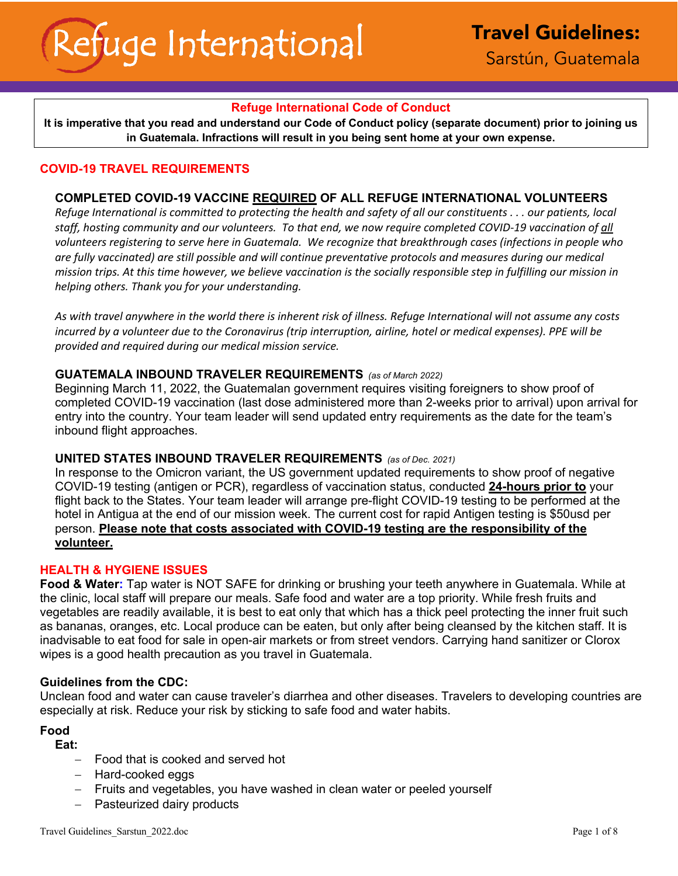# **Refuge International Code of Conduct**

**It is imperative that you read and understand our Code of Conduct policy (separate document) prior to joining us in Guatemala. Infractions will result in you being sent home at your own expense.**

## **COVID-19 TRAVEL REQUIREMENTS**

## **COMPLETED COVID-19 VACCINE REQUIRED OF ALL REFUGE INTERNATIONAL VOLUNTEERS**

*Refuge International is committed to protecting the health and safety of all our constituents . . . our patients, local staff, hosting community and our volunteers. To that end, we now require completed COVID-19 vaccination of all volunteers registering to serve here in Guatemala. We recognize that breakthrough cases (infections in people who are fully vaccinated) are still possible and will continue preventative protocols and measures during our medical mission trips. At this time however, we believe vaccination is the socially responsible step in fulfilling our mission in helping others. Thank you for your understanding.*

*As with travel anywhere in the world there is inherent risk of illness. Refuge International will not assume any costs incurred by a volunteer due to the Coronavirus (trip interruption, airline, hotel or medical expenses). PPE will be provided and required during our medical mission service.*

### **GUATEMALA INBOUND TRAVELER REQUIREMENTS** *(as of March 2022)*

Beginning March 11, 2022, the Guatemalan government requires visiting foreigners to show proof of completed COVID-19 vaccination (last dose administered more than 2-weeks prior to arrival) upon arrival for entry into the country. Your team leader will send updated entry requirements as the date for the team's inbound flight approaches.

### **UNITED STATES INBOUND TRAVELER REQUIREMENTS** *(as of Dec. 2021)*

In response to the Omicron variant, the US government updated requirements to show proof of negative COVID-19 testing (antigen or PCR), regardless of vaccination status, conducted **24-hours prior to** your flight back to the States. Your team leader will arrange pre-flight COVID-19 testing to be performed at the hotel in Antigua at the end of our mission week. The current cost for rapid Antigen testing is \$50usd per person. **Please note that costs associated with COVID-19 testing are the responsibility of the volunteer.** 

### **HEALTH & HYGIENE ISSUES**

**Food & Water:** Tap water is NOT SAFE for drinking or brushing your teeth anywhere in Guatemala. While at the clinic, local staff will prepare our meals. Safe food and water are a top priority. While fresh fruits and vegetables are readily available, it is best to eat only that which has a thick peel protecting the inner fruit such as bananas, oranges, etc. Local produce can be eaten, but only after being cleansed by the kitchen staff. It is inadvisable to eat food for sale in open-air markets or from street vendors. Carrying hand sanitizer or Clorox wipes is a good health precaution as you travel in Guatemala.

## **Guidelines from the CDC:**

Unclean food and water can cause traveler's diarrhea and other diseases. Travelers to developing countries are especially at risk. Reduce your risk by sticking to safe food and water habits.

## **Food**

**Eat:** 

- Food that is cooked and served hot
- Hard-cooked eggs
- Fruits and vegetables, you have washed in clean water or peeled yourself
- Pasteurized dairy products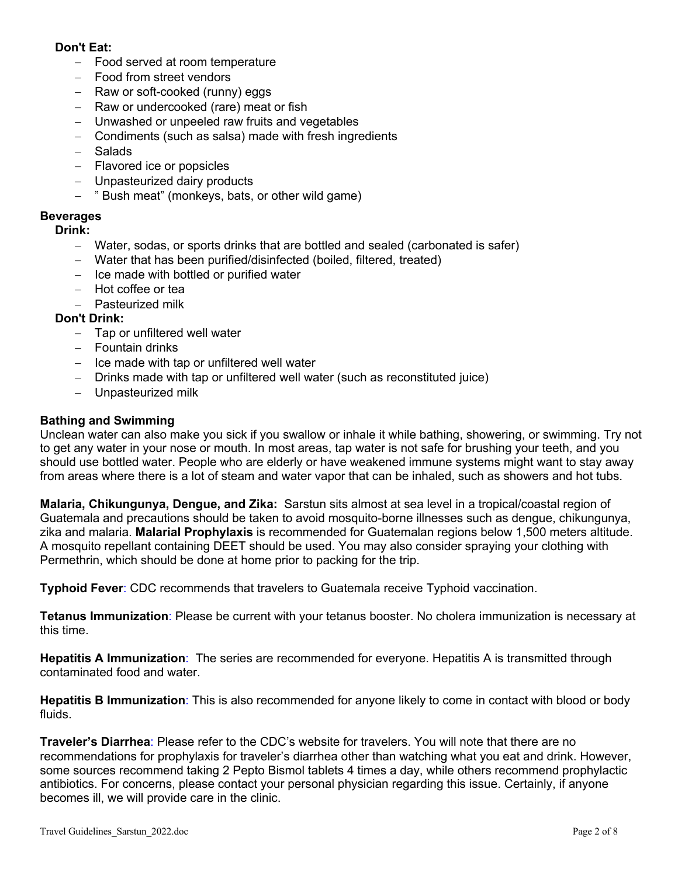# **Don't Eat:**

- Food served at room temperature
- Food from street vendors
- Raw or soft-cooked (runny) eggs
- Raw or undercooked (rare) meat or fish
- Unwashed or unpeeled raw fruits and vegetables
- Condiments (such as salsa) made with fresh ingredients
- Salads
- Flavored ice or popsicles
- Unpasteurized dairy products
- " Bush meat" (monkeys, bats, or other wild game)

### **Beverages**

# **Drink:**

- Water, sodas, or sports drinks that are bottled and sealed (carbonated is safer)
- Water that has been purified/disinfected (boiled, filtered, treated)
- Ice made with bottled or purified water
- Hot coffee or tea
- Pasteurized milk

## **Don't Drink:**

- Tap or unfiltered well water
- Fountain drinks
- Ice made with tap or unfiltered well water
- Drinks made with tap or unfiltered well water (such as reconstituted juice)
- Unpasteurized milk

### **Bathing and Swimming**

Unclean water can also make you sick if you swallow or inhale it while bathing, showering, or swimming. Try not to get any water in your nose or mouth. In most areas, tap water is not safe for brushing your teeth, and you should use bottled water. People who are elderly or have weakened immune systems might want to stay away from areas where there is a lot of steam and water vapor that can be inhaled, such as showers and hot tubs.

**Malaria, Chikungunya, Dengue, and Zika:** Sarstun sits almost at sea level in a tropical/coastal region of Guatemala and precautions should be taken to avoid mosquito-borne illnesses such as dengue, chikungunya, zika and malaria. **Malarial Prophylaxis** is recommended for Guatemalan regions below 1,500 meters altitude. A mosquito repellant containing DEET should be used. You may also consider spraying your clothing with Permethrin, which should be done at home prior to packing for the trip.

**Typhoid Fever**: CDC recommends that travelers to Guatemala receive Typhoid vaccination.

**Tetanus Immunization**: Please be current with your tetanus booster. No cholera immunization is necessary at this time.

**Hepatitis A Immunization**: The series are recommended for everyone. Hepatitis A is transmitted through contaminated food and water.

**Hepatitis B Immunization**: This is also recommended for anyone likely to come in contact with blood or body fluids.

**Traveler's Diarrhea**: Please refer to the CDC's website for travelers. You will note that there are no recommendations for prophylaxis for traveler's diarrhea other than watching what you eat and drink. However, some sources recommend taking 2 Pepto Bismol tablets 4 times a day, while others recommend prophylactic antibiotics. For concerns, please contact your personal physician regarding this issue. Certainly, if anyone becomes ill, we will provide care in the clinic.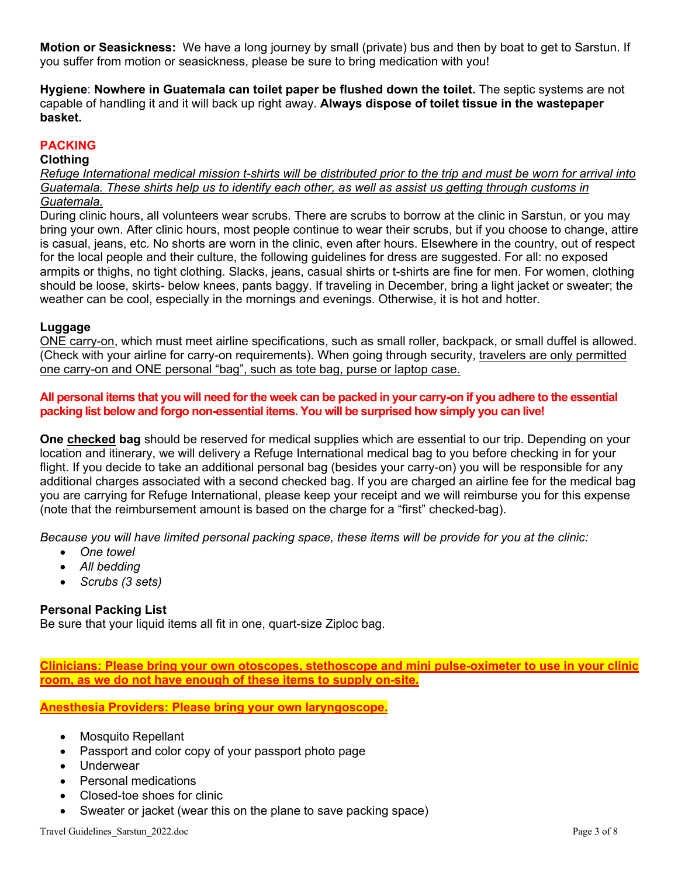**Motion or Seasickness:** We have a long journey by small (private) bus and then by boat to get to Sarstun. If you suffer from motion or seasickness, please be sure to bring medication with you!

**Hygiene**: **Nowhere in Guatemala can toilet paper be flushed down the toilet.** The septic systems are not capable of handling it and it will back up right away. **Always dispose of toilet tissue in the wastepaper basket.** 

## **PACKING**

## **Clothing**

*Refuge International medical mission t-shirts will be distributed prior to the trip and must be worn for arrival into Guatemala. These shirts help us to identify each other, as well as assist us getting through customs in Guatemala.*

During clinic hours, all volunteers wear scrubs. There are scrubs to borrow at the clinic in Sarstun, or you may bring your own. After clinic hours, most people continue to wear their scrubs, but if you choose to change, attire is casual, jeans, etc*.* No shorts are worn in the clinic, even after hours. Elsewhere in the country, out of respect for the local people and their culture, the following guidelines for dress are suggested. For all: no exposed armpits or thighs, no tight clothing. Slacks, jeans, casual shirts or t-shirts are fine for men. For women, clothing should be loose, skirts- below knees, pants baggy. If traveling in December, bring a light jacket or sweater; the weather can be cool, especially in the mornings and evenings. Otherwise, it is hot and hotter.

#### **Luggage**

ONE carry-on, which must meet airline specifications, such as small roller, backpack, or small duffel is allowed. (Check with your airline for carry-on requirements). When going through security, travelers are only permitted one carry-on and ONE personal "bag", such as tote bag, purse or laptop case.

**All personal items that you will need for the week can be packed in your carry-on if you adhere to the essential packing list below and forgo non-essential items. You will be surprised how simply you can live!**

**One checked bag** should be reserved for medical supplies which are essential to our trip. Depending on your location and itinerary, we will delivery a Refuge International medical bag to you before checking in for your flight. If you decide to take an additional personal bag (besides your carry-on) you will be responsible for any additional charges associated with a second checked bag. If you are charged an airline fee for the medical bag you are carrying for Refuge International, please keep your receipt and we will reimburse you for this expense (note that the reimbursement amount is based on the charge for a "first" checked-bag).

*Because you will have limited personal packing space, these items will be provide for you at the clinic:*

- *One towel*
- *All bedding*
- *Scrubs (3 sets)*

#### **Personal Packing List**

Be sure that your liquid items all fit in one, quart-size Ziploc bag.

**Clinicians: Please bring your own otoscopes, stethoscope and mini pulse-oximeter to use in your clinic room, as we do not have enough of these items to supply on-site.** 

**Anesthesia Providers: Please bring your own laryngoscope.**

- Mosquito Repellant
- Passport and color copy of your passport photo page
- Underwear
- Personal medications
- Closed-toe shoes for clinic
- Sweater or jacket (wear this on the plane to save packing space)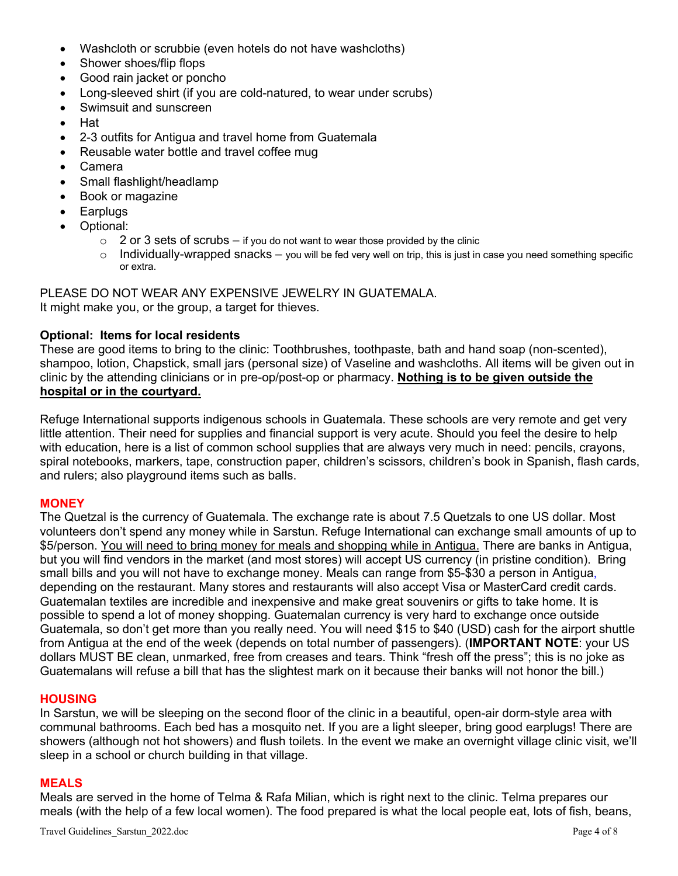- Washcloth or scrubbie (even hotels do not have washcloths)
- Shower shoes/flip flops
- Good rain jacket or poncho
- Long-sleeved shirt (if you are cold-natured, to wear under scrubs)
- Swimsuit and sunscreen
- Hat
- 2-3 outfits for Antigua and travel home from Guatemala
- Reusable water bottle and travel coffee mug
- Camera
- Small flashlight/headlamp
- Book or magazine
- Earplugs
- Optional:
	- $\circ$  2 or 3 sets of scrubs if you do not want to wear those provided by the clinic
	- $\circ$  Individually-wrapped snacks you will be fed very well on trip, this is just in case you need something specific or extra.

PLEASE DO NOT WEAR ANY EXPENSIVE JEWELRY IN GUATEMALA. It might make you, or the group, a target for thieves.

### **Optional: Items for local residents**

These are good items to bring to the clinic: Toothbrushes, toothpaste, bath and hand soap (non-scented), shampoo, lotion, Chapstick, small jars (personal size) of Vaseline and washcloths. All items will be given out in clinic by the attending clinicians or in pre-op/post-op or pharmacy. **Nothing is to be given outside the hospital or in the courtyard.**

Refuge International supports indigenous schools in Guatemala. These schools are very remote and get very little attention. Their need for supplies and financial support is very acute. Should you feel the desire to help with education, here is a list of common school supplies that are always very much in need: pencils, crayons, spiral notebooks, markers, tape, construction paper, children's scissors, children's book in Spanish, flash cards, and rulers; also playground items such as balls.

### **MONEY**

The Quetzal is the currency of Guatemala. The exchange rate is about 7.5 Quetzals to one US dollar. Most volunteers don't spend any money while in Sarstun. Refuge International can exchange small amounts of up to \$5/person. You will need to bring money for meals and shopping while in Antigua. There are banks in Antigua, but you will find vendors in the market (and most stores) will accept US currency (in pristine condition). Bring small bills and you will not have to exchange money. Meals can range from \$5-\$30 a person in Antigua, depending on the restaurant. Many stores and restaurants will also accept Visa or MasterCard credit cards. Guatemalan textiles are incredible and inexpensive and make great souvenirs or gifts to take home. It is possible to spend a lot of money shopping. Guatemalan currency is very hard to exchange once outside Guatemala, so don't get more than you really need. You will need \$15 to \$40 (USD) cash for the airport shuttle from Antigua at the end of the week (depends on total number of passengers). (**IMPORTANT NOTE**: your US dollars MUST BE clean, unmarked, free from creases and tears. Think "fresh off the press"; this is no joke as Guatemalans will refuse a bill that has the slightest mark on it because their banks will not honor the bill.)

### **HOUSING**

In Sarstun, we will be sleeping on the second floor of the clinic in a beautiful, open-air dorm-style area with communal bathrooms. Each bed has a mosquito net. If you are a light sleeper, bring good earplugs! There are showers (although not hot showers) and flush toilets. In the event we make an overnight village clinic visit, we'll sleep in a school or church building in that village.

#### **MEALS**

Meals are served in the home of Telma & Rafa Milian, which is right next to the clinic. Telma prepares our meals (with the help of a few local women). The food prepared is what the local people eat, lots of fish, beans,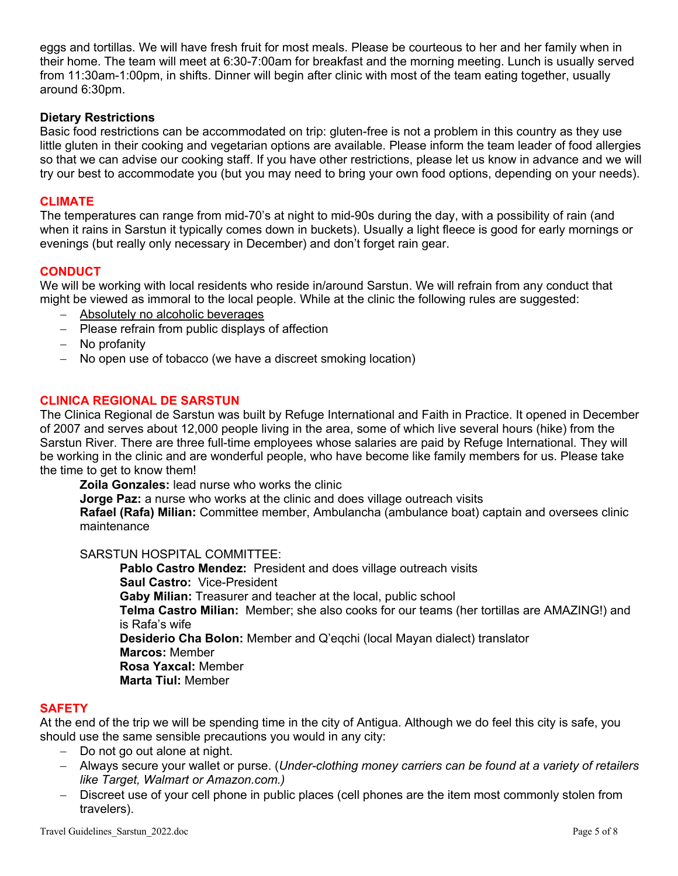eggs and tortillas. We will have fresh fruit for most meals. Please be courteous to her and her family when in their home. The team will meet at 6:30-7:00am for breakfast and the morning meeting. Lunch is usually served from 11:30am-1:00pm, in shifts. Dinner will begin after clinic with most of the team eating together, usually around 6:30pm.

## **Dietary Restrictions**

Basic food restrictions can be accommodated on trip: gluten-free is not a problem in this country as they use little gluten in their cooking and vegetarian options are available. Please inform the team leader of food allergies so that we can advise our cooking staff. If you have other restrictions, please let us know in advance and we will try our best to accommodate you (but you may need to bring your own food options, depending on your needs).

## **CLIMATE**

The temperatures can range from mid-70's at night to mid-90s during the day, with a possibility of rain (and when it rains in Sarstun it typically comes down in buckets). Usually a light fleece is good for early mornings or evenings (but really only necessary in December) and don't forget rain gear.

## **CONDUCT**

We will be working with local residents who reside in/around Sarstun. We will refrain from any conduct that might be viewed as immoral to the local people. While at the clinic the following rules are suggested:

- Absolutely no alcoholic beverages
- Please refrain from public displays of affection
- No profanity
- No open use of tobacco (we have a discreet smoking location)

## **CLINICA REGIONAL DE SARSTUN**

The Clinica Regional de Sarstun was built by Refuge International and Faith in Practice. It opened in December of 2007 and serves about 12,000 people living in the area, some of which live several hours (hike) from the Sarstun River. There are three full-time employees whose salaries are paid by Refuge International. They will be working in the clinic and are wonderful people, who have become like family members for us. Please take the time to get to know them!

**Zoila Gonzales:** lead nurse who works the clinic

**Jorge Paz:** a nurse who works at the clinic and does village outreach visits

**Rafael (Rafa) Milian:** Committee member, Ambulancha (ambulance boat) captain and oversees clinic maintenance

## SARSTUN HOSPITAL COMMITTEE:

**Pablo Castro Mendez:** President and does village outreach visits **Saul Castro:** Vice-President **Gaby Milian:** Treasurer and teacher at the local, public school **Telma Castro Milian:** Member; she also cooks for our teams (her tortillas are AMAZING!) and is Rafa's wife **Desiderio Cha Bolon:** Member and Q'eqchi (local Mayan dialect) translator **Marcos:** Member **Rosa Yaxcal:** Member **Marta Tiul:** Member

### **SAFETY**

At the end of the trip we will be spending time in the city of Antigua. Although we do feel this city is safe, you should use the same sensible precautions you would in any city:

- Do not go out alone at night.
- Always secure your wallet or purse. (*Under-clothing money carriers can be found at a variety of retailers like Target, Walmart or Amazon.com.)*
- Discreet use of your cell phone in public places (cell phones are the item most commonly stolen from travelers).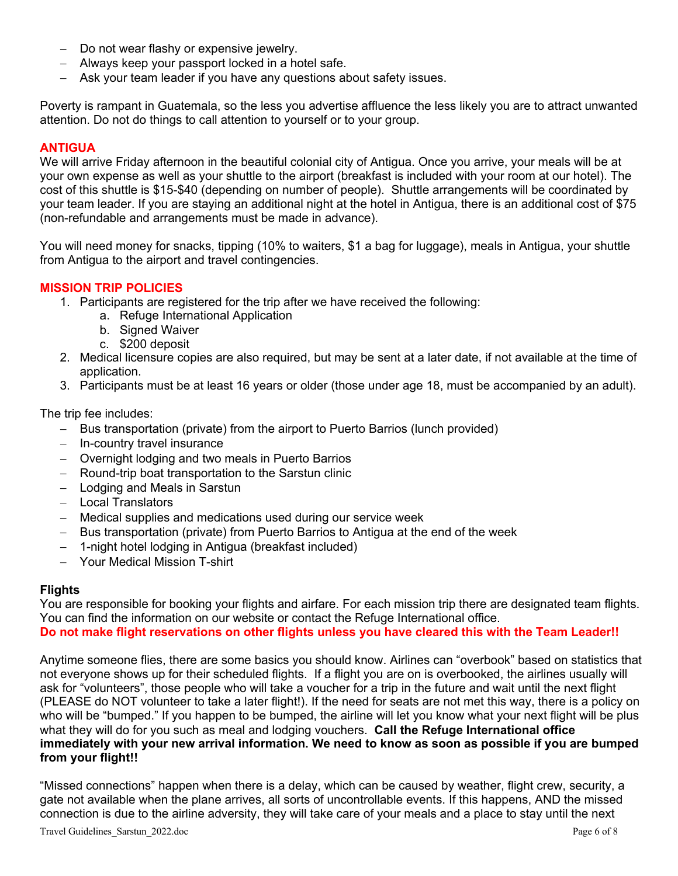- Do not wear flashy or expensive jewelry.
- Always keep your passport locked in a hotel safe.
- Ask your team leader if you have any questions about safety issues.

Poverty is rampant in Guatemala, so the less you advertise affluence the less likely you are to attract unwanted attention. Do not do things to call attention to yourself or to your group.

## **ANTIGUA**

We will arrive Friday afternoon in the beautiful colonial city of Antigua. Once you arrive, your meals will be at your own expense as well as your shuttle to the airport (breakfast is included with your room at our hotel). The cost of this shuttle is \$15-\$40 (depending on number of people). Shuttle arrangements will be coordinated by your team leader. If you are staying an additional night at the hotel in Antigua, there is an additional cost of \$75 (non-refundable and arrangements must be made in advance).

You will need money for snacks, tipping (10% to waiters, \$1 a bag for luggage), meals in Antigua, your shuttle from Antigua to the airport and travel contingencies.

## **MISSION TRIP POLICIES**

- 1. Participants are registered for the trip after we have received the following:
	- a. Refuge International Application
	- b. Signed Waiver
	- c. \$200 deposit
- 2. Medical licensure copies are also required, but may be sent at a later date, if not available at the time of application.
- 3. Participants must be at least 16 years or older (those under age 18, must be accompanied by an adult).

The trip fee includes:

- Bus transportation (private) from the airport to Puerto Barrios (lunch provided)
- In-country travel insurance
- Overnight lodging and two meals in Puerto Barrios
- Round-trip boat transportation to the Sarstun clinic
- Lodging and Meals in Sarstun
- Local Translators
- Medical supplies and medications used during our service week
- Bus transportation (private) from Puerto Barrios to Antigua at the end of the week
- 1-night hotel lodging in Antigua (breakfast included)
- Your Medical Mission T-shirt

### **Flights**

You are responsible for booking your flights and airfare. For each mission trip there are designated team flights. You can find the information on our website or contact the Refuge International office. **Do not make flight reservations on other flights unless you have cleared this with the Team Leader!!** 

Anytime someone flies, there are some basics you should know. Airlines can "overbook" based on statistics that not everyone shows up for their scheduled flights. If a flight you are on is overbooked, the airlines usually will ask for "volunteers", those people who will take a voucher for a trip in the future and wait until the next flight (PLEASE do NOT volunteer to take a later flight!). If the need for seats are not met this way, there is a policy on who will be "bumped." If you happen to be bumped, the airline will let you know what your next flight will be plus what they will do for you such as meal and lodging vouchers. **Call the Refuge International office immediately with your new arrival information. We need to know as soon as possible if you are bumped from your flight!!**

"Missed connections" happen when there is a delay, which can be caused by weather, flight crew, security, a gate not available when the plane arrives, all sorts of uncontrollable events. If this happens, AND the missed connection is due to the airline adversity, they will take care of your meals and a place to stay until the next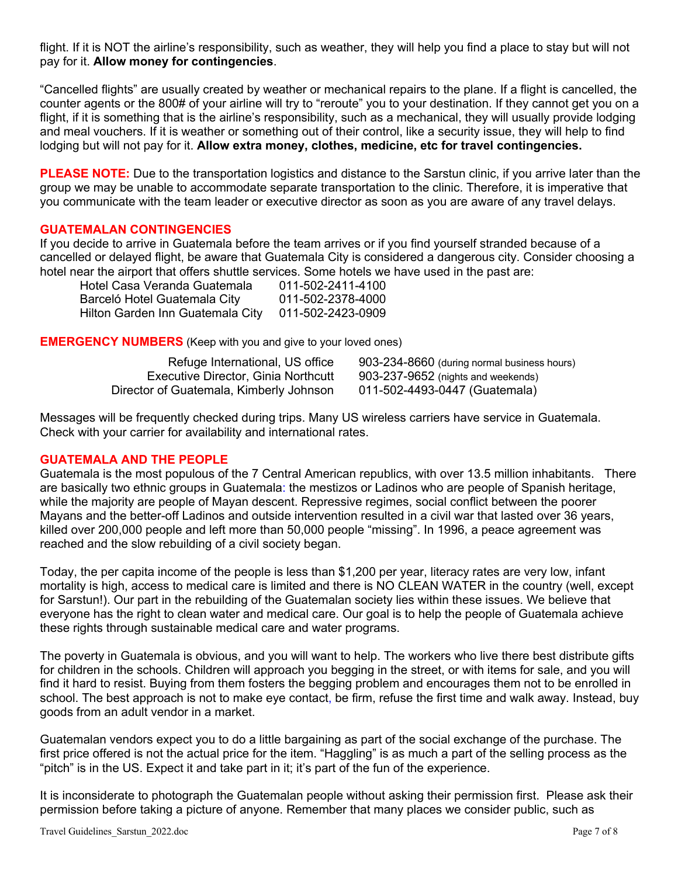flight. If it is NOT the airline's responsibility, such as weather, they will help you find a place to stay but will not pay for it. **Allow money for contingencies**.

"Cancelled flights" are usually created by weather or mechanical repairs to the plane. If a flight is cancelled, the counter agents or the 800# of your airline will try to "reroute" you to your destination. If they cannot get you on a flight, if it is something that is the airline's responsibility, such as a mechanical, they will usually provide lodging and meal vouchers. If it is weather or something out of their control, like a security issue, they will help to find lodging but will not pay for it. **Allow extra money, clothes, medicine, etc for travel contingencies.**

**PLEASE NOTE:** Due to the transportation logistics and distance to the Sarstun clinic, if you arrive later than the group we may be unable to accommodate separate transportation to the clinic. Therefore, it is imperative that you communicate with the team leader or executive director as soon as you are aware of any travel delays.

## **GUATEMALAN CONTINGENCIES**

If you decide to arrive in Guatemala before the team arrives or if you find yourself stranded because of a cancelled or delayed flight, be aware that Guatemala City is considered a dangerous city. Consider choosing a hotel near the airport that offers shuttle services. Some hotels we have used in the past are:

| Hotel Casa Veranda Guatemala     | 011-502-2411-4100 |
|----------------------------------|-------------------|
| Barceló Hotel Guatemala City     | 011-502-2378-4000 |
| Hilton Garden Inn Guatemala City | 011-502-2423-0909 |

**EMERGENCY NUMBERS** (Keep with you and give to your loved ones)

| Refuge International, US office         | 90. |
|-----------------------------------------|-----|
| Executive Director, Ginia Northcutt     | 90. |
| Director of Guatemala, Kimberly Johnson | 01' |

8-234-8660 (during normal business hours)  $B-237-9652$  (nights and weekends) 1-502-4493-0447 (Guatemala)

Messages will be frequently checked during trips. Many US wireless carriers have service in Guatemala. Check with your carrier for availability and international rates.

## **GUATEMALA AND THE PEOPLE**

Guatemala is the most populous of the 7 Central American republics, with over 13.5 million inhabitants. There are basically two ethnic groups in Guatemala: the mestizos or Ladinos who are people of Spanish heritage, while the majority are people of Mayan descent. Repressive regimes, social conflict between the poorer Mayans and the better-off Ladinos and outside intervention resulted in a civil war that lasted over 36 years, killed over 200,000 people and left more than 50,000 people "missing". In 1996, a peace agreement was reached and the slow rebuilding of a civil society began.

Today, the per capita income of the people is less than \$1,200 per year, literacy rates are very low, infant mortality is high, access to medical care is limited and there is NO CLEAN WATER in the country (well, except for Sarstun!). Our part in the rebuilding of the Guatemalan society lies within these issues. We believe that everyone has the right to clean water and medical care. Our goal is to help the people of Guatemala achieve these rights through sustainable medical care and water programs.

The poverty in Guatemala is obvious, and you will want to help. The workers who live there best distribute gifts for children in the schools. Children will approach you begging in the street, or with items for sale, and you will find it hard to resist. Buying from them fosters the begging problem and encourages them not to be enrolled in school. The best approach is not to make eye contact, be firm, refuse the first time and walk away. Instead, buy goods from an adult vendor in a market.

Guatemalan vendors expect you to do a little bargaining as part of the social exchange of the purchase. The first price offered is not the actual price for the item. "Haggling" is as much a part of the selling process as the "pitch" is in the US. Expect it and take part in it; it's part of the fun of the experience.

It is inconsiderate to photograph the Guatemalan people without asking their permission first. Please ask their permission before taking a picture of anyone. Remember that many places we consider public, such as